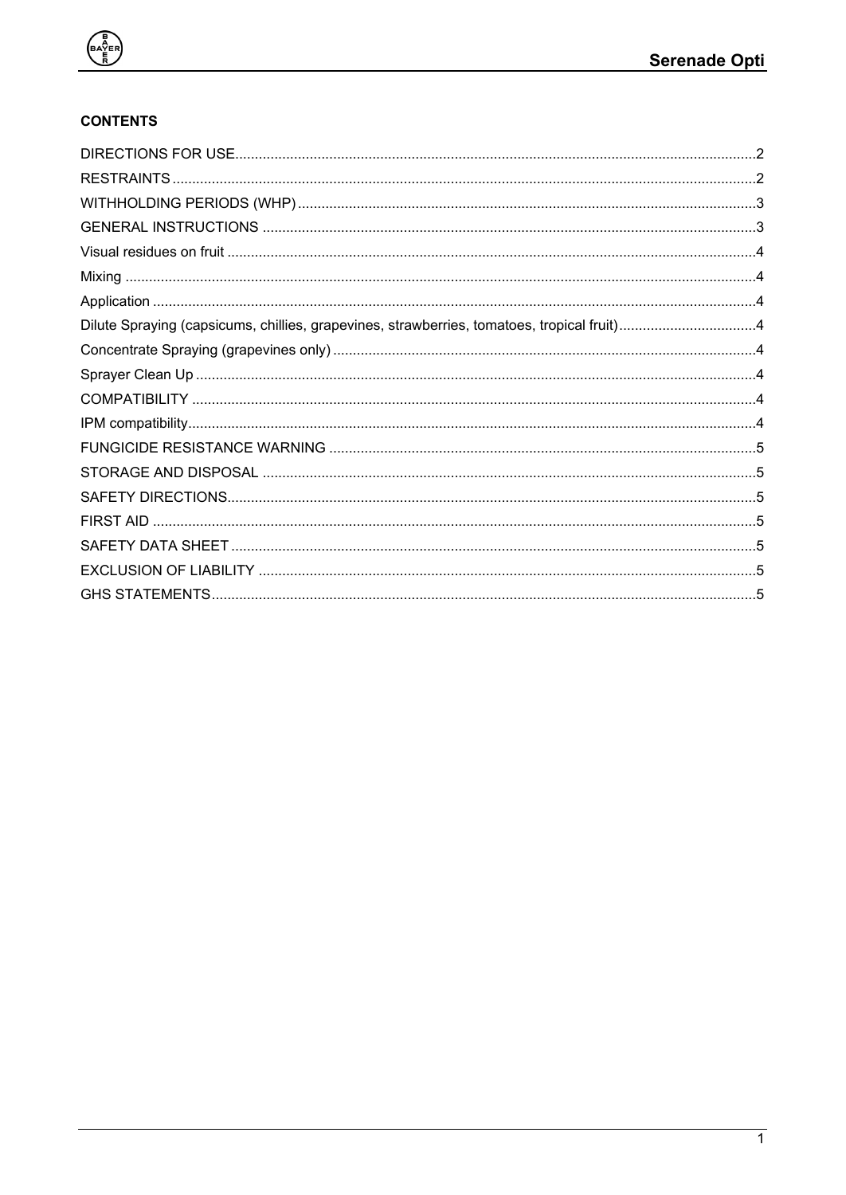

# **CONTENTS**

| Dilute Spraying (capsicums, chillies, grapevines, strawberries, tomatoes, tropical fruit)4 |  |
|--------------------------------------------------------------------------------------------|--|
|                                                                                            |  |
|                                                                                            |  |
|                                                                                            |  |
|                                                                                            |  |
|                                                                                            |  |
|                                                                                            |  |
|                                                                                            |  |
|                                                                                            |  |
|                                                                                            |  |
|                                                                                            |  |
|                                                                                            |  |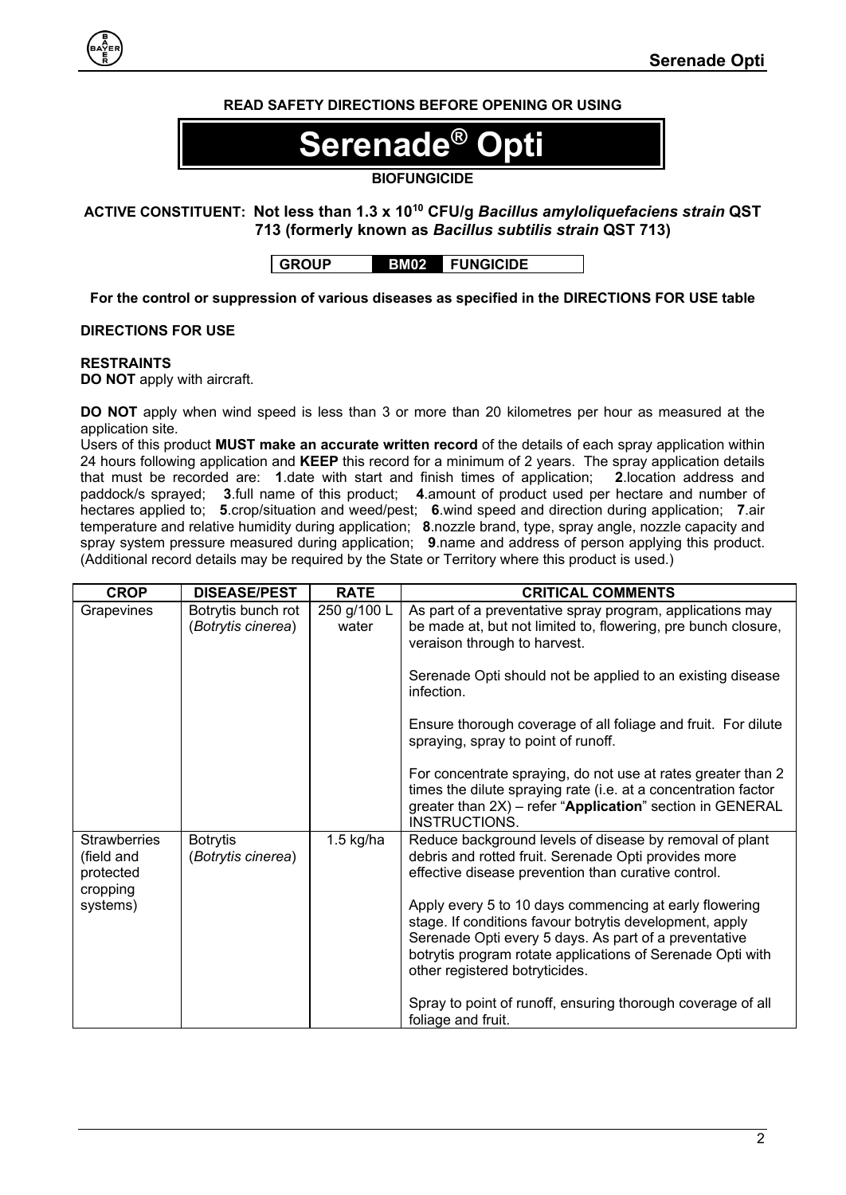# **READ SAFETY DIRECTIONS BEFORE OPENING OR USING**

# $\overline{\textbf{Serende}}^{\textcircled{\tiny{\textregistered}}}$

# **BIOFUNGICIDE**

# **ACTIVE CONSTITUENT: Not less than 1.3 x 10<sup>10</sup> CFU/g** *Bacillus amyloliquefaciens strain* **QST 713 (formerly known as** *Bacillus subtilis strain* **QST 713)**

**GROUP BM02 FUNGICIDE**

**For the control or suppression of various diseases as specified in the DIRECTIONS FOR USE table**

# <span id="page-1-0"></span>**DIRECTIONS FOR USE**

#### <span id="page-1-1"></span>**RESTRAINTS**

**DO NOT** apply with aircraft.

**DO NOT** apply when wind speed is less than 3 or more than 20 kilometres per hour as measured at the application site.

Users of this product **MUST make an accurate written record** of the details of each spray application within 24 hours following application and **KEEP** this record for a minimum of 2 years. The spray application details that must be recorded are: **1**.date with start and finish times of application; **2**.location address and paddock/s sprayed; **3**.full name of this product; **4**.amount of product used per hectare and number of hectares applied to; **5**.crop/situation and weed/pest; **6**.wind speed and direction during application; **7**.air temperature and relative humidity during application; **8**.nozzle brand, type, spray angle, nozzle capacity and spray system pressure measured during application; **9**.name and address of person applying this product. (Additional record details may be required by the State or Territory where this product is used.)

| <b>CROP</b>                                                            | <b>DISEASE/PEST</b>                      | <b>RATE</b>          | <b>CRITICAL COMMENTS</b>                                                                                                                                                                                                                                                   |
|------------------------------------------------------------------------|------------------------------------------|----------------------|----------------------------------------------------------------------------------------------------------------------------------------------------------------------------------------------------------------------------------------------------------------------------|
| Grapevines                                                             | Botrytis bunch rot<br>(Botrytis cinerea) | 250 g/100 L<br>water | As part of a preventative spray program, applications may<br>be made at, but not limited to, flowering, pre bunch closure,<br>veraison through to harvest.                                                                                                                 |
|                                                                        |                                          |                      | Serenade Opti should not be applied to an existing disease<br>infection.                                                                                                                                                                                                   |
|                                                                        |                                          |                      | Ensure thorough coverage of all foliage and fruit. For dilute<br>spraying, spray to point of runoff.                                                                                                                                                                       |
|                                                                        |                                          |                      | For concentrate spraying, do not use at rates greater than 2<br>times the dilute spraying rate (i.e. at a concentration factor<br>greater than 2X) - refer "Application" section in GENERAL<br>INSTRUCTIONS.                                                               |
| <b>Strawberries</b><br>(field and<br>protected<br>cropping<br>systems) | <b>Botrytis</b><br>(Botrytis cinerea)    | $1.5$ kg/ha          | Reduce background levels of disease by removal of plant<br>debris and rotted fruit. Serenade Opti provides more<br>effective disease prevention than curative control.                                                                                                     |
|                                                                        |                                          |                      | Apply every 5 to 10 days commencing at early flowering<br>stage. If conditions favour botrytis development, apply<br>Serenade Opti every 5 days. As part of a preventative<br>botrytis program rotate applications of Serenade Opti with<br>other registered botryticides. |
|                                                                        |                                          |                      | Spray to point of runoff, ensuring thorough coverage of all<br>foliage and fruit.                                                                                                                                                                                          |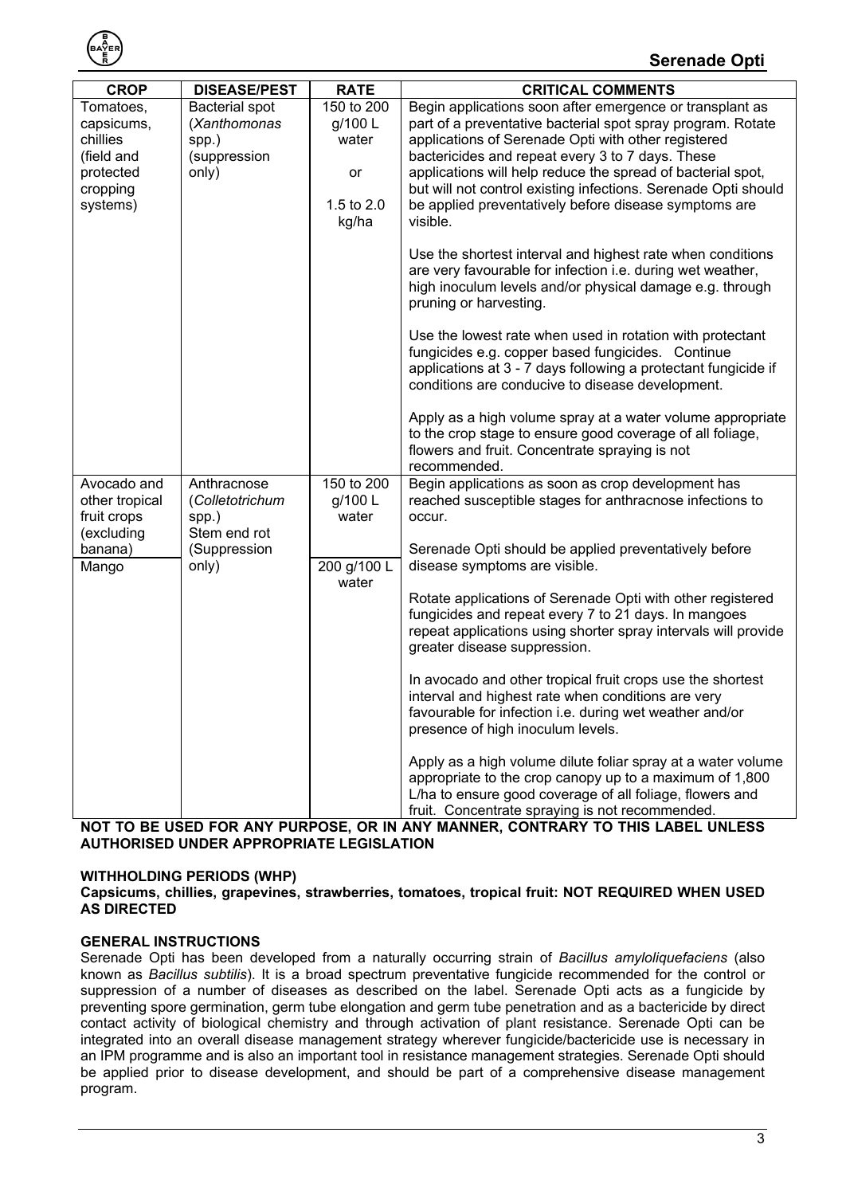

| <b>CROP</b>                                                                            | <b>DISEASE/PEST</b>                                                              | <b>RATE</b>                                                 | <b>CRITICAL COMMENTS</b>                                                                                                                                                                                                                                                                                                                                                                                                                 |
|----------------------------------------------------------------------------------------|----------------------------------------------------------------------------------|-------------------------------------------------------------|------------------------------------------------------------------------------------------------------------------------------------------------------------------------------------------------------------------------------------------------------------------------------------------------------------------------------------------------------------------------------------------------------------------------------------------|
| Tomatoes,<br>capsicums,<br>chillies<br>(field and<br>protected<br>cropping<br>systems) | <b>Bacterial spot</b><br>(Xanthomonas<br>spp.)<br>(suppression<br>only)          | 150 to 200<br>g/100 L<br>water<br>or<br>1.5 to 2.0<br>kg/ha | Begin applications soon after emergence or transplant as<br>part of a preventative bacterial spot spray program. Rotate<br>applications of Serenade Opti with other registered<br>bactericides and repeat every 3 to 7 days. These<br>applications will help reduce the spread of bacterial spot,<br>but will not control existing infections. Serenade Opti should<br>be applied preventatively before disease symptoms are<br>visible. |
|                                                                                        |                                                                                  |                                                             | Use the shortest interval and highest rate when conditions<br>are very favourable for infection i.e. during wet weather,<br>high inoculum levels and/or physical damage e.g. through<br>pruning or harvesting.                                                                                                                                                                                                                           |
|                                                                                        |                                                                                  |                                                             | Use the lowest rate when used in rotation with protectant<br>fungicides e.g. copper based fungicides. Continue<br>applications at 3 - 7 days following a protectant fungicide if<br>conditions are conducive to disease development.                                                                                                                                                                                                     |
|                                                                                        |                                                                                  |                                                             | Apply as a high volume spray at a water volume appropriate<br>to the crop stage to ensure good coverage of all foliage,<br>flowers and fruit. Concentrate spraying is not<br>recommended.                                                                                                                                                                                                                                                |
| Avocado and<br>other tropical<br>fruit crops<br>(excluding                             | Anthracnose<br>(Colletotrichum<br>spp.)<br>Stem end rot<br>(Suppression<br>only) | 150 to 200<br>g/100 L<br>water                              | Begin applications as soon as crop development has<br>reached susceptible stages for anthracnose infections to<br>occur.                                                                                                                                                                                                                                                                                                                 |
| banana)<br>Mango                                                                       |                                                                                  | 200 g/100 L                                                 | Serenade Opti should be applied preventatively before<br>disease symptoms are visible.                                                                                                                                                                                                                                                                                                                                                   |
|                                                                                        |                                                                                  | water                                                       | Rotate applications of Serenade Opti with other registered<br>fungicides and repeat every 7 to 21 days. In mangoes<br>repeat applications using shorter spray intervals will provide<br>greater disease suppression.                                                                                                                                                                                                                     |
|                                                                                        |                                                                                  |                                                             | In avocado and other tropical fruit crops use the shortest<br>interval and highest rate when conditions are very<br>favourable for infection i.e. during wet weather and/or<br>presence of high inoculum levels.                                                                                                                                                                                                                         |
|                                                                                        | ANIV DUDDOCE                                                                     |                                                             | Apply as a high volume dilute foliar spray at a water volume<br>appropriate to the crop canopy up to a maximum of 1,800<br>L/ha to ensure good coverage of all foliage, flowers and<br>fruit. Concentrate spraying is not recommended.<br>CONTRADY TO THIS I                                                                                                                                                                             |

**NOT MANNER, CONTRARY TO TH AUTHORISED UNDER APPROPRIATE LEGISLATION**

# <span id="page-2-0"></span>**WITHHOLDING PERIODS (WHP)**

#### **Capsicums, chillies, grapevines, strawberries, tomatoes, tropical fruit: NOT REQUIRED WHEN USED AS DIRECTED**

## <span id="page-2-1"></span>**GENERAL INSTRUCTIONS**

Serenade Opti has been developed from a naturally occurring strain of *Bacillus amyloliquefaciens* (also known as *Bacillus subtilis*). It is a broad spectrum preventative fungicide recommended for the control or suppression of a number of diseases as described on the label. Serenade Opti acts as a fungicide by preventing spore germination, germ tube elongation and germ tube penetration and as a bactericide by direct contact activity of biological chemistry and through activation of plant resistance. Serenade Opti can be integrated into an overall disease management strategy wherever fungicide/bactericide use is necessary in an IPM programme and is also an important tool in resistance management strategies. Serenade Opti should be applied prior to disease development, and should be part of a comprehensive disease management program.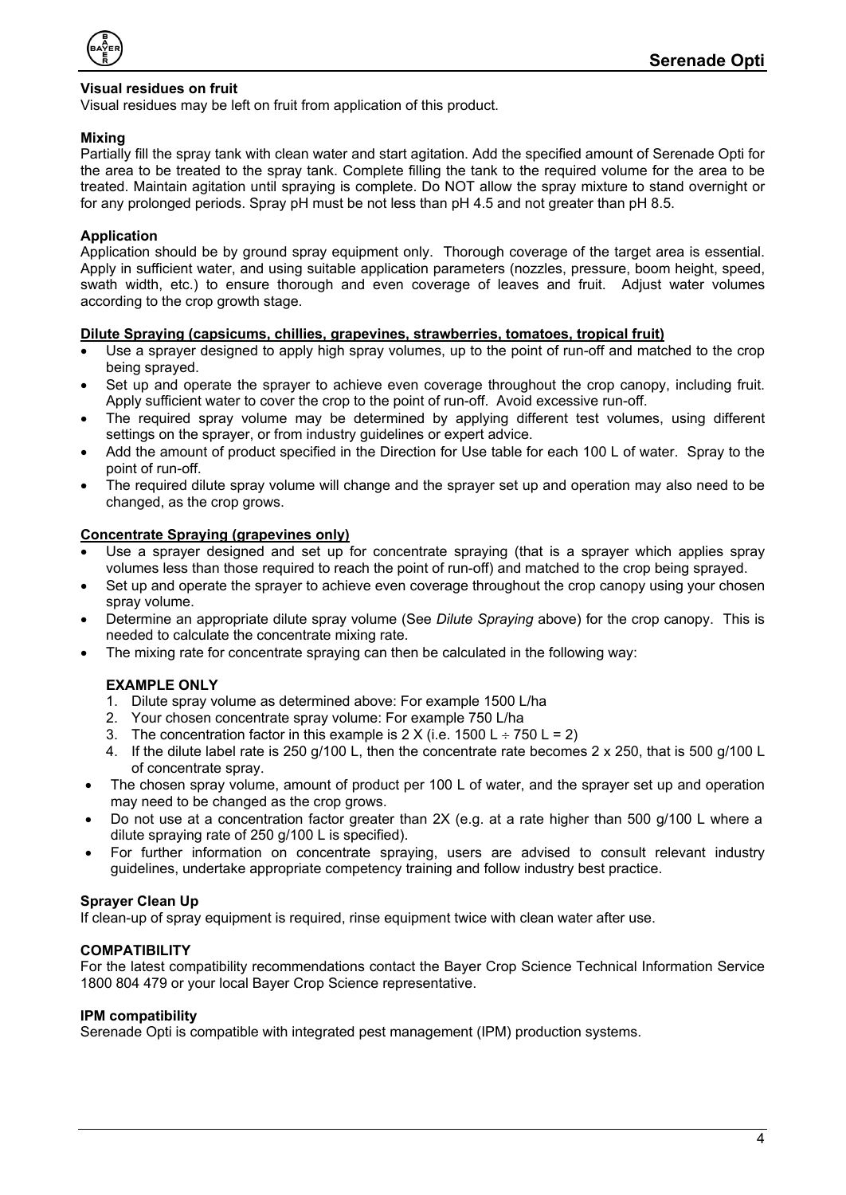

## <span id="page-3-0"></span>**Visual residues on fruit**

Visual residues may be left on fruit from application of this product.

## <span id="page-3-1"></span>**Mixing**

Partially fill the spray tank with clean water and start agitation. Add the specified amount of Serenade Opti for the area to be treated to the spray tank. Complete filling the tank to the required volume for the area to be treated. Maintain agitation until spraying is complete. Do NOT allow the spray mixture to stand overnight or for any prolonged periods. Spray pH must be not less than pH 4.5 and not greater than pH 8.5.

# <span id="page-3-2"></span>**Application**

Application should be by ground spray equipment only. Thorough coverage of the target area is essential. Apply in sufficient water, and using suitable application parameters (nozzles, pressure, boom height, speed, swath width, etc.) to ensure thorough and even coverage of leaves and fruit. Adjust water volumes according to the crop growth stage.

#### <span id="page-3-3"></span>**Dilute Spraying (capsicums, chillies, grapevines, strawberries, tomatoes, tropical fruit)**

- Use a sprayer designed to apply high spray volumes, up to the point of run-off and matched to the crop being sprayed.
- Set up and operate the sprayer to achieve even coverage throughout the crop canopy, including fruit. Apply sufficient water to cover the crop to the point of run-off. Avoid excessive run-off.
- The required spray volume may be determined by applying different test volumes, using different settings on the sprayer, or from industry guidelines or expert advice.
- Add the amount of product specified in the Direction for Use table for each 100 L of water. Spray to the point of run-off.
- The required dilute spray volume will change and the sprayer set up and operation may also need to be changed, as the crop grows.

#### <span id="page-3-4"></span>**Concentrate Spraying (grapevines only)**

- Use a sprayer designed and set up for concentrate spraying (that is a sprayer which applies spray volumes less than those required to reach the point of run-off) and matched to the crop being sprayed.
- Set up and operate the sprayer to achieve even coverage throughout the crop canopy using your chosen spray volume.
- Determine an appropriate dilute spray volume (See *Dilute Spraying* above) for the crop canopy. This is needed to calculate the concentrate mixing rate.
- The mixing rate for concentrate spraying can then be calculated in the following way:

# **EXAMPLE ONLY**

- 1. Dilute spray volume as determined above: For example 1500 L/ha
- 2. Your chosen concentrate spray volume: For example 750 L/ha
- 3. The concentration factor in this example is  $2 \times (i.e. 1500 \text{ L} \div 750 \text{ L} = 2)$
- 4. If the dilute label rate is 250 g/100 L, then the concentrate rate becomes 2 x 250, that is 500 g/100 L of concentrate spray.
- The chosen spray volume, amount of product per 100 L of water, and the sprayer set up and operation may need to be changed as the crop grows.
- Do not use at a concentration factor greater than 2X (e.g. at a rate higher than 500 g/100 L where a dilute spraying rate of 250 g/100 L is specified).
- For further information on concentrate spraying, users are advised to consult relevant industry guidelines, undertake appropriate competency training and follow industry best practice.

#### <span id="page-3-5"></span>**Sprayer Clean Up**

If clean-up of spray equipment is required, rinse equipment twice with clean water after use.

#### <span id="page-3-6"></span>**COMPATIBILITY**

For the latest compatibility recommendations contact the Bayer Crop Science Technical Information Service 1800 804 479 or your local Bayer Crop Science representative.

#### <span id="page-3-7"></span>**IPM compatibility**

Serenade Opti is compatible with integrated pest management (IPM) production systems.